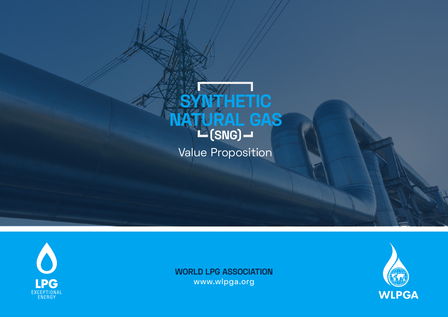





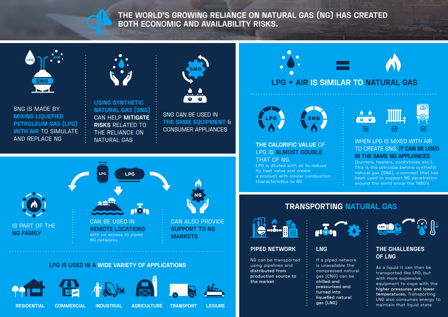

**THE WORLD'S GROWING RELIANCE ON NATURAL GAS (NG) HAS CREATED BOTH ECONOMIC AND AVAILABILITY RISKS.**



SNG IS MADE BY **MIXING LIQUEFIED PETROLEUM GAS (LPG) WITH AIR** TO SIMULATE AND REPLACE NG



**USING SYNTHETIC NATURAL GAS (SNG)** CAN HELP **MITIGATE RISKS** RELATED TO THE RELIANCE ON NATURAL GAS



SNG CAN BE USED IN **THE SAME EQUIPMENT** & CONSUMER APPLIANCES



## **LPG IS USED IN A WIDE VARIETY OF APPLICATIONS**



**LPG + AIR IS SIMILAR TO NATURAL GAS**



**THE CALORIFIC VALUE** OF LPG IS **ALMOST DOUBLE**  THAT OF NG.

LPG is diluted with air to reduce its heat value and create a product with similar combustion characteristics to NG



#### WHEN LPG IS MIXED WITH AIR TO CREATE SNG, **IT CAN BE USED IN THE SAME NG APPLIANCES**

(burners, heaters, cookstoves etc.). This is the principle behind synthetic natural gas (SNG), a concept that has been used to support NG penetration around the world since the 1950's

# **TRANSPORTING NATURAL GAS**



# **PIPED NETWORK**

NG can be transported using pipelines and **distributed from production source to the market**



# **LNG**

If a piped network is unavailable the compressed natural gas (CNG) can be **chilled and pressurised and turned into liquefied natural gas (LNG)**



# **THE CHALLENGES OF LNG**

As a liquid it can then be transported like LPG, but with more expensive equipment to cope with the **higher pressures and lower temperatures.** Transporting LNG also consumes energy to maintain that liquid state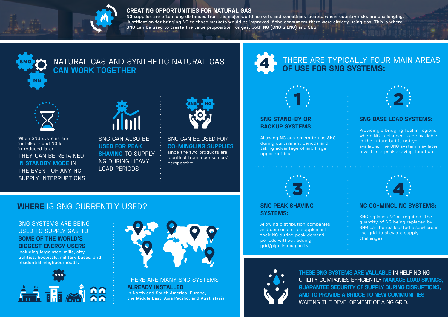

#### **CREATING OPPORTUNITIES FOR NATURAL GAS**

**NG supplies are often long distances from the major world markets and sometimes located where country risks are challenging. Justification for bringing NG to those markets would be improved if the consumers there were already using gas. This is where SNG can be used to create the value proposition for gas, both NG (CNG & LNG) and SNG.**

4



# SNG AND SYNTHETIC NATURAL GAS AND SYNTHETIC NATURAL GAS **CAN WORK TOGETHER**



When SNG systems are installed - and NG is introduced later THEY CAN BE RETAINED **IN STANDBY MODE** IN THE EVENT OF ANY NG SUPPLY INTERRUPTIONS



SNG CAN ALSO BE **USED FOR PEAK SHAVING** TO SUPPLY NG DURING HEAVY LOAD PERIODS



SNG CAN BE USED FOR **CO-MINGLING SUPPLIES** since the two products are identical from a consumers' perspective

# THERE ARE TYPICALLY FOUR MAIN AREAS **OF USE FOR SNG SYSTEMS:**



#### **SNG STAND-BY OR BACKUP SYSTEMS**

Allowing NG customers to use SNG during curtailment periods and taking advantage of arbitrage opportunities



## **SNG BASE LOAD SYSTEMS:**

Providing a bridging fuel in regions where NG is planned to be available in the future but is not yet available. The SNG system may later revert to a peak shaving function



## **SNG PEAK SHAVING SYSTEMS:**

Allowing distribution companies and consumers to supplement their NG during peak demand periods without adding grid/pipeline capacity



## **NG CO-MINGLING SYSTEMS:**

SNG replaces NG as required. The quantity of NG being replaced by SNG can be reallocated elsewhere in the grid to alleviate supply challenges



**THESE SNG SYSTEMS ARE VALUABLE** IN HELPING NG UTILITY COMPANIES EFFICIENTLY **MANAGE LOAD SWINGS, GUARANTEE SECURITY OF SUPPLY DURING DISRUPTIONS, AND TO PROVIDE A BRIDGE TO NEW COMMUNITIES** WAITING THE DEVELOPMENT OF A NG GRID.

# **WHERE** IS SNG CURRENTLY USED?

SNG SYSTEMS ARE BEING USED TO SUPPLY GAS TO **SOME OF THE WORLD'S BIGGEST ENERGY USERS including large steel mills, city utilities, hospitals, military bases, and residential neighbourhoods.**





THERE ARE MANY SNG SYSTEMS **ALREADY INSTALLED in North and South America, Europe,** 

**the Middle East, Asia Pacific, and Australasia**